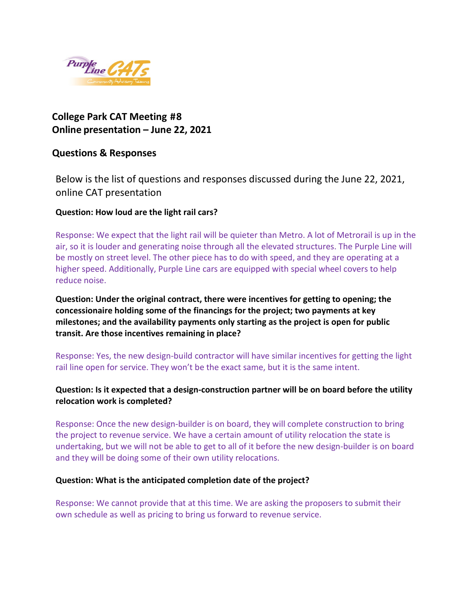

# **College Park CAT Meeting #8 Online presentation – June 22, 2021**

## **Questions & Responses**

Below is the list of questions and responses discussed during the June 22, 2021, online CAT presentation

### **Question: How loud are the light rail cars?**

Response: We expect that the light rail will be quieter than Metro. A lot of Metrorail is up in the air, so it is louder and generating noise through all the elevated structures. The Purple Line will be mostly on street level. The other piece has to do with speed, and they are operating at a higher speed. Additionally, Purple Line cars are equipped with special wheel covers to help reduce noise.

**Question: Under the original contract, there were incentives for getting to opening; the concessionaire holding some of the financings for the project; two payments at key milestones; and the availability payments only starting as the project is open for public transit. Are those incentives remaining in place?**

Response: Yes, the new design-build contractor will have similar incentives for getting the light rail line open for service. They won't be the exact same, but it is the same intent.

### **Question: Is it expected that a design-construction partner will be on board before the utility relocation work is completed?**

Response: Once the new design-builder is on board, they will complete construction to bring the project to revenue service. We have a certain amount of utility relocation the state is undertaking, but we will not be able to get to all of it before the new design-builder is on board and they will be doing some of their own utility relocations.

### **Question: What is the anticipated completion date of the project?**

Response: We cannot provide that at this time. We are asking the proposers to submit their own schedule as well as pricing to bring us forward to revenue service.